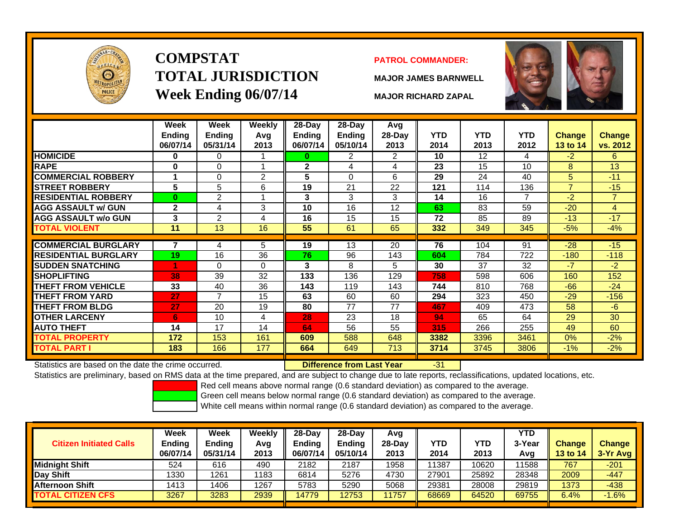

# **COMPSTATTOTAL JURISDICTIONWeek Ending 06/07/14 MAJOR RICHARD ZAPAL**

#### **PATROL COMMANDER:**

**MAJOR JAMES BARNWELL**



-31

|                             | Week<br><b>Ending</b><br>06/07/14 | Week<br>Ending<br>05/31/14 | <b>Weekly</b><br>Avg<br>2013 | $28-Day$<br>Ending<br>06/07/14 | $28-Day$<br><b>Ending</b><br>05/10/14 | Avg<br>28-Day<br>2013 | <b>YTD</b><br>2014 | <b>YTD</b><br>2013 | <b>YTD</b><br>2012 | Change<br><b>13 to 14</b> | <b>Change</b><br>vs. 2012 |
|-----------------------------|-----------------------------------|----------------------------|------------------------------|--------------------------------|---------------------------------------|-----------------------|--------------------|--------------------|--------------------|---------------------------|---------------------------|
| <b>HOMICIDE</b>             | $\bf{0}$                          | 0                          |                              | 0                              | 2                                     | 2                     | 10                 | 12                 | 4                  | $-2$                      | 6                         |
| <b>RAPE</b>                 | 0                                 | 0                          |                              | $\mathbf{2}$                   | 4                                     | 4                     | 23                 | 15                 | 10                 | 8                         | 13                        |
| <b>COMMERCIAL ROBBERY</b>   | 1                                 | 0                          | 2                            | 5                              | $\Omega$                              | 6                     | 29                 | 24                 | 40                 | 5                         | $-11$                     |
| <b>STREET ROBBERY</b>       | 5                                 | 5                          | 6                            | 19                             | 21                                    | 22                    | 121                | 114                | 136                | $\overline{7}$            | $-15$                     |
| <b>RESIDENTIAL ROBBERY</b>  | $\bf{0}$                          | 2                          |                              | 3                              | 3                                     | 3                     | 14                 | 16                 | 7                  | $-2$                      | 7                         |
| <b>AGG ASSAULT w/ GUN</b>   | $\mathbf{2}$                      | 4                          | 3                            | 10                             | 16                                    | 12                    | 63                 | 83                 | 59                 | $-20$                     | 4                         |
| <b>AGG ASSAULT w/o GUN</b>  | 3                                 | 2                          | 4                            | 16                             | 15                                    | 15                    | 72                 | 85                 | 89                 | $-13$                     | $-17$                     |
| <b>TOTAL VIOLENT</b>        | 11                                | 13                         | 16                           | 55                             | 61                                    | 65                    | 332                | 349                | 345                | $-5%$                     | $-4%$                     |
|                             |                                   |                            |                              |                                |                                       |                       |                    |                    |                    |                           |                           |
| <b>COMMERCIAL BURGLARY</b>  | 7                                 | 4                          | 5                            | 19                             | 13                                    | 20                    | 76                 | 104                | 91                 | $-28$                     | $-15$                     |
| <b>RESIDENTIAL BURGLARY</b> | 19                                | 16                         | 36                           | 76                             | 96                                    | 143                   | 604                | 784                | 722                | $-180$                    | $-118$                    |
| <b>SUDDEN SNATCHING</b>     | 4                                 | 0                          | $\Omega$                     | 3                              | 8                                     | 5                     | 30                 | 37                 | 32                 | $-7$                      | $-2$                      |
| <b>ISHOPLIFTING</b>         | 38                                | 39                         | 32                           | 133                            | 136                                   | 129                   | 758                | 598                | 606                | 160                       | 152                       |
| <b>THEFT FROM VEHICLE</b>   | 33                                | 40                         | 36                           | 143                            | 119                                   | 143                   | 744                | 810                | 768                | $-66$                     | $-24$                     |
| <b>THEFT FROM YARD</b>      | 27                                | 7                          | 15                           | 63                             | 60                                    | 60                    | 294                | 323                | 450                | $-29$                     | $-156$                    |
| <b>THEFT FROM BLDG</b>      | 27                                | 20                         | 19                           | 80                             | 77                                    | 77                    | 467                | 409                | 473                | 58                        | $-6$                      |
| <b>OTHER LARCENY</b>        | 6                                 | 10                         | 4                            | 28                             | 23                                    | 18                    | 94                 | 65                 | 64                 | 29                        | 30                        |
| <b>AUTO THEFT</b>           | 14                                | 17                         | 14                           | 64                             | 56                                    | 55                    | 315                | 266                | 255                | 49                        | 60                        |
| <b>TOTAL PROPERTY</b>       | 172                               | 153                        | 161                          | 609                            | 588                                   | 648                   | 3382               | 3396               | 3461               | 0%                        | $-2%$                     |
| <b>TOTAL PART I</b>         | 183                               | 166                        | 177                          | 664                            | 649                                   | 713                   | 3714               | 3745               | 3806               | $-1%$                     | $-2%$                     |

Statistics are based on the date the crime occurred. **Difference from Last Year** 

Statistics are preliminary, based on RMS data at the time prepared, and are subject to change due to late reports, reclassifications, updated locations, etc.

Red cell means above normal range (0.6 standard deviation) as compared to the average.

Green cell means below normal range (0.6 standard deviation) as compared to the average.

| <b>Citizen Initiated Calls</b> | Week<br>Ending<br>06/07/14 | <b>Week</b><br><b>Ending</b><br>05/31/14 | Weekly<br>Avg<br>2013 | 28-Day<br><b>Ending</b><br>06/07/14 | 28-Day<br><b>Ending</b><br>05/10/14 | Avg<br>$28-Day$<br>2013 | <b>YTD</b><br>2014 | YTD<br>2013 | <b>YTD</b><br>3-Year<br>Avg | <b>Change</b><br><b>13 to 14</b> | <b>Change</b><br>3-Yr Avg |
|--------------------------------|----------------------------|------------------------------------------|-----------------------|-------------------------------------|-------------------------------------|-------------------------|--------------------|-------------|-----------------------------|----------------------------------|---------------------------|
| <b>Midnight Shift</b>          | 524                        | 616                                      | 490                   | 2182                                | 2187                                | 1958                    | 11387              | 10620       | 11588                       | 767                              | $-201$                    |
| Day Shift                      | 1330                       | 1261                                     | 1183                  | 6814                                | 5276                                | 4730                    | 27901              | 25892       | 28348                       | 2009                             | $-447$                    |
| <b>Afternoon Shift</b>         | 1413                       | 1406                                     | 1267                  | 5783                                | 5290                                | 5068                    | 29381              | 28008       | 29819                       | 1373                             | $-438$                    |
| <b>TOTAL CITIZEN CFS</b>       | 3267                       | 3283                                     | 2939                  | 14779                               | 12753                               | 1757                    | 68669              | 64520       | 69755                       | 6.4%                             | $-1.6%$                   |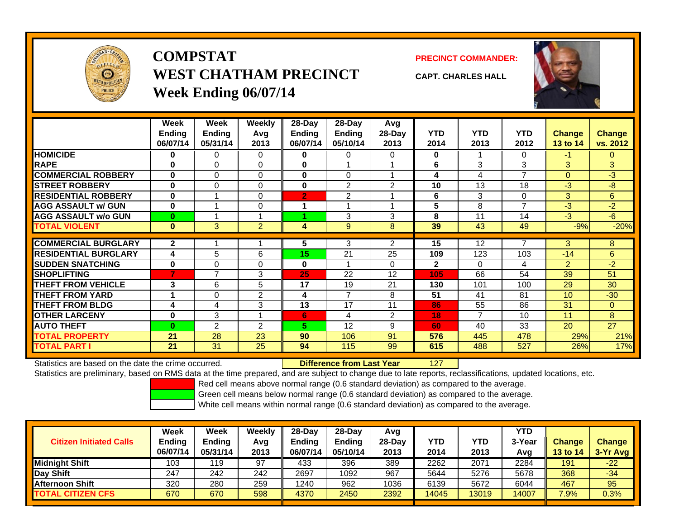

# **COMPSTATWEST CHATHAM PRECINCTWeek Ending 06/07/14**

**PRECINCT COMMANDER:**



**CAPT. CHARLES HALL**

|                             | Week<br><b>Ending</b><br>06/07/14 | Week<br><b>Ending</b><br>05/31/14 | Weeklv<br>Avg<br>2013 | 28-Day<br>Ending<br>06/07/14 | $28-Day$<br><b>Ending</b><br>05/10/14 | Avg<br>28-Day<br>2013 | <b>YTD</b><br>2014 | <b>YTD</b><br>2013 | <b>YTD</b><br>2012 | <b>Change</b><br>13 to 14 | <b>Change</b><br>vs. 2012 |
|-----------------------------|-----------------------------------|-----------------------------------|-----------------------|------------------------------|---------------------------------------|-----------------------|--------------------|--------------------|--------------------|---------------------------|---------------------------|
| <b>HOMICIDE</b>             | 0                                 | $\Omega$                          | $\Omega$              | $\bf{0}$                     | $\Omega$                              | $\Omega$              | 0                  |                    | 0                  | $-1$                      | $\Omega$                  |
| <b>RAPE</b>                 | $\bf{0}$                          | $\Omega$                          | $\Omega$              | $\bf{0}$                     |                                       |                       | 6                  | 3                  | 3                  | 3                         | 3                         |
| <b>COMMERCIAL ROBBERY</b>   | $\bf{0}$                          | $\Omega$                          | $\Omega$              | $\bf{0}$                     | $\Omega$                              |                       | 4                  | 4                  | 7                  | $\mathbf{0}$              | $-3$                      |
| <b>STREET ROBBERY</b>       | $\bf{0}$                          | $\Omega$                          | 0                     | $\bf{0}$                     | $\overline{2}$                        | $\overline{2}$        | 10                 | 13                 | 18                 | $-3$                      | -8                        |
| <b>RESIDENTIAL ROBBERY</b>  | $\bf{0}$                          |                                   | $\Omega$              | $\overline{2}$               | 2                                     |                       | 6                  | 3                  | 0                  | 3                         | 6                         |
| <b>AGG ASSAULT w/ GUN</b>   | $\bf{0}$                          |                                   | $\Omega$              | 1                            |                                       |                       | 5                  | 8                  | $\overline{ }$     | $-3$                      | $-2$                      |
| <b>AGG ASSAULT w/o GUN</b>  | $\bf{0}$                          |                                   |                       |                              | 3                                     | 3                     | 8                  | 11                 | 14                 | $-3$                      | $-6$                      |
| <b>TOTAL VIOLENT</b>        | $\bf{0}$                          | 3                                 | $\overline{2}$        | 4                            | 9                                     | 8                     | 39                 | 43                 | 49                 | $-9%$                     | $-20%$                    |
|                             |                                   |                                   |                       |                              |                                       |                       |                    |                    |                    |                           |                           |
| <b>COMMERCIAL BURGLARY</b>  | $\mathbf{2}$                      |                                   |                       | 5                            | 3                                     | 2                     | 15                 | 12                 | 7                  | 3                         | 8                         |
| <b>RESIDENTIAL BURGLARY</b> | 4                                 | 5                                 | 6                     | 15                           | 21                                    | 25                    | 109                | 123                | 103                | $-14$                     | 6                         |
| <b>SUDDEN SNATCHING</b>     | $\bf{0}$                          | $\Omega$                          | $\Omega$              | $\bf{0}$                     |                                       | 0                     | $\mathbf{2}$       | 0                  | 4                  | $\overline{2}$            | $-2$                      |
| <b>SHOPLIFTING</b>          | 7                                 | $\overline{ }$                    | 3                     | 25                           | 22                                    | 12                    | 105                | 66                 | 54                 | 39                        | 51                        |
| <b>THEFT FROM VEHICLE</b>   | 3                                 | 6                                 | 5                     | 17                           | 19                                    | 21                    | 130                | 101                | 100                | 29                        | 30                        |
| <b>THEFT FROM YARD</b>      |                                   | $\Omega$                          | $\overline{2}$        | 4                            | $\overline{7}$                        | 8                     | 51                 | 41                 | 81                 | 10 <sup>1</sup>           | $-30$                     |
| <b>THEFT FROM BLDG</b>      | 4                                 | 4                                 | 3                     | 13                           | 17                                    | 11                    | 86                 | 55                 | 86                 | 31                        | $\mathbf{0}$              |
| <b>OTHER LARCENY</b>        | $\bf{0}$                          | 3                                 |                       | 6                            | 4                                     | 2                     | 18                 | 7                  | 10                 | 11                        | 8                         |
| <b>AUTO THEFT</b>           | $\bf{0}$                          | 2                                 | 2                     | 5.                           | 12                                    | 9                     | 60                 | 40                 | 33                 | 20                        | 27                        |
| TOTAL PROPERTY              | 21                                | 28                                | 23                    | 90                           | 106                                   | 91                    | 576                | 445                | 478                | 29%                       | 21%                       |
| <b>TOTAL PART</b> I         | 21                                | 31                                | 25                    | 94                           | 115                                   | 99                    | 615                | 488                | 527                | 26%                       | 17%                       |

Statistics are based on the date the crime occurred. **Difference from Last Year** 

127

Statistics are preliminary, based on RMS data at the time prepared, and are subject to change due to late reports, reclassifications, updated locations, etc.

Red cell means above normal range (0.6 standard deviation) as compared to the average.

Green cell means below normal range (0.6 standard deviation) as compared to the average.

| <b>Citizen Initiated Calls</b> | Week<br><b>Ending</b><br>06/07/14 | Week<br><b>Ending</b><br>05/31/14 | Weekly<br>Avg<br>2013 | $28-Day$<br><b>Ending</b><br>06/07/14 | 28-Day<br><b>Ending</b><br>05/10/14 | Avg<br>28-Day<br>2013 | YTD<br>2014 | YTD<br>2013 | <b>YTD</b><br>3-Year<br>Avg | <b>Change</b><br>13 to 14 | <b>Change</b><br>3-Yr Avg |
|--------------------------------|-----------------------------------|-----------------------------------|-----------------------|---------------------------------------|-------------------------------------|-----------------------|-------------|-------------|-----------------------------|---------------------------|---------------------------|
| <b>Midnight Shift</b>          | 103                               | 119                               | 97                    | 433                                   | 396                                 | 389                   | 2262        | 2071        | 2284                        | 191                       | $-22$                     |
| Day Shift                      | 247                               | 242                               | 242                   | 2697                                  | 1092                                | 967                   | 5644        | 5276        | 5678                        | 368                       | $-34$                     |
| <b>Afternoon Shift</b>         | 320                               | 280                               | 259                   | 1240                                  | 962                                 | 1036                  | 6139        | 5672        | 6044                        | 467                       | 95                        |
| <b>TOTAL CITIZEN CFS</b>       | 670                               | 670                               | 598                   | 4370                                  | 2450                                | 2392                  | 14045       | 13019       | 14007                       | 7.9%                      | 0.3%                      |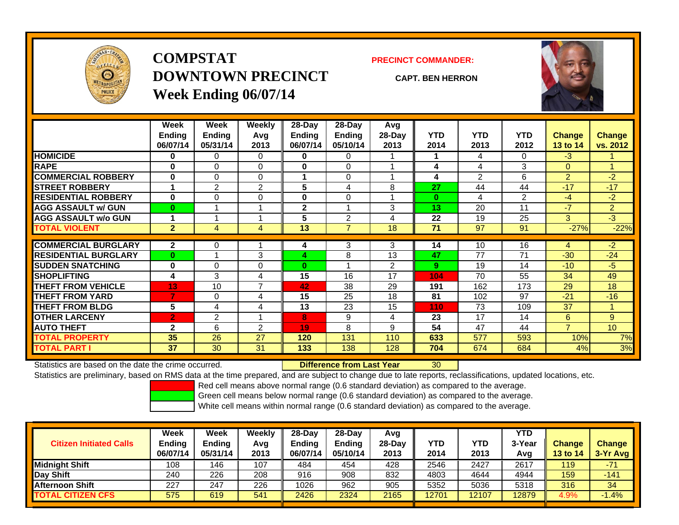

# **COMPSTATDOWNTOWN PRECINCTWeek Ending 06/07/14**

**PRECINCT COMMANDER:**

**CAPT. BEN HERRON**



|                             | Week           | Week     | Weekly         | 28-Day        | 28-Day         | Avg      |            |                |            |                |                |
|-----------------------------|----------------|----------|----------------|---------------|----------------|----------|------------|----------------|------------|----------------|----------------|
|                             | <b>Ending</b>  | Ending   | Avg            | <b>Ending</b> | <b>Ending</b>  | $28-Day$ | <b>YTD</b> | <b>YTD</b>     | <b>YTD</b> | <b>Change</b>  | Change         |
|                             | 06/07/14       | 05/31/14 | 2013           | 06/07/14      | 05/10/14       | 2013     | 2014       | 2013           | 2012       | 13 to 14       | vs. 2012       |
| <b>HOMICIDE</b>             | 0              | 0        | $\Omega$       | 0             | 0              |          |            | 4              | 0          | $-3$           |                |
| <b>RAPE</b>                 | $\bf{0}$       | $\Omega$ | 0              | 0             | 0              |          | 4          | 4              | 3          | $\Omega$       |                |
| <b>COMMERCIAL ROBBERY</b>   | $\bf{0}$       | $\Omega$ | 0              |               | $\Omega$       |          | 4          | $\overline{2}$ | 6          | $\overline{2}$ | $-2$           |
| <b>STREET ROBBERY</b>       | 1              | 2        | 2              | 5             | 4              | 8        | 27         | 44             | 44         | $-17$          | $-17$          |
| <b>RESIDENTIAL ROBBERY</b>  | $\bf{0}$       | $\Omega$ | $\Omega$       | 0             | 0              |          | $\bf{0}$   | 4              | 2          | -4             | $-2$           |
| <b>AGG ASSAULT w/ GUN</b>   | $\bf{0}$       |          |                | $\mathbf{2}$  |                | 3        | 13         | 20             | 11         | $-7$           | $\overline{2}$ |
| <b>AGG ASSAULT w/o GUN</b>  | 1              |          |                | 5             | 2              | 4        | 22         | 19             | 25         | 3              | $-3$           |
| <b>TOTAL VIOLENT</b>        | $\overline{2}$ | 4        | 4              | 13            | $\overline{7}$ | 18       | 71         | 97             | 91         | $-27%$         | $-22%$         |
| <b>COMMERCIAL BURGLARY</b>  | $\overline{2}$ | 0        |                |               | 3              | 3        | 14         | 10             | 16         | 4              | $-2$           |
|                             |                |          |                | 4             |                |          |            |                |            |                |                |
| <b>RESIDENTIAL BURGLARY</b> | $\bf{0}$       |          | 3              | 4             | 8              | 13       | 47         | 77             | 71         | $-30$          | $-24$          |
| <b>SUDDEN SNATCHING</b>     | $\bf{0}$       | $\Omega$ | 0              | $\bf{0}$      |                | 2        | 9          | 19             | 14         | $-10^{-}$      | $-5$           |
| <b>SHOPLIFTING</b>          | 4              | 3        | 4              | 15            | 16             | 17       | 104        | 70             | 55         | 34             | 49             |
| <b>THEFT FROM VEHICLE</b>   | 13             | 10       | $\overline{ }$ | 42            | 38             | 29       | 191        | 162            | 173        | 29             | 18             |
| <b>THEFT FROM YARD</b>      | 7              | 0        | 4              | 15            | 25             | 18       | 81         | 102            | 97         | $-21$          | $-16$          |
| <b>THEFT FROM BLDG</b>      | 5              | 4        | 4              | 13            | 23             | 15       | 110        | 73             | 109        | 37             |                |
| <b>OTHER LARCENY</b>        | $\overline{2}$ | 2        | $\overline{A}$ | 8             | 9              | 4        | 23         | 17             | 14         | 6              | 9              |
| <b>AUTO THEFT</b>           | $\mathbf{2}$   | 6        | $\overline{2}$ | 19            | 8              | 9        | 54         | 47             | 44         | $\overline{7}$ | 10             |
| <b>TOTAL PROPERTY</b>       | 35             | 26       | 27             | 120           | 131            | 110      | 633        | 577            | 593        | 10%            | 7%             |
| <b>TOTAL PART I</b>         | 37             | 30       | 31             | 133           | 138            | 128      | 704        | 674            | 684        | 4%             | 3%             |

Statistics are based on the date the crime occurred. **Difference from Last Year** 

30

Statistics are preliminary, based on RMS data at the time prepared, and are subject to change due to late reports, reclassifications, updated locations, etc.

Red cell means above normal range (0.6 standard deviation) as compared to the average.

Green cell means below normal range (0.6 standard deviation) as compared to the average.

| <b>Citizen Initiated Calls</b> | Week<br><b>Ending</b><br>06/07/14 | <b>Week</b><br><b>Ending</b><br>05/31/14 | Weekly<br>Avg<br>2013 | 28-Day<br>Ending<br>06/07/14 | 28-Dav<br><b>Ending</b><br>05/10/14 | Avg<br>28-Dav<br>2013 | YTD<br>2014 | YTD<br>2013 | YTD<br>3-Yea<br>Avg | <b>Change</b><br><b>13 to 14</b> | <b>Change</b><br>3-Yr Avg |
|--------------------------------|-----------------------------------|------------------------------------------|-----------------------|------------------------------|-------------------------------------|-----------------------|-------------|-------------|---------------------|----------------------------------|---------------------------|
| Midniaht Shift                 | 108                               | 46                                       | 107                   | 484                          | 454                                 | 428                   | 2546        | 2427        | 2617                | 119                              | $-71$                     |
| Day Shift                      | 240                               | 226                                      | 208                   | 916                          | 908                                 | 832                   | 4803        | 4644        | 4944                | 159                              | $-141$                    |
| <b>Afternoon Shift</b>         | 227                               | 247                                      | 226                   | 1026                         | 962                                 | 905                   | 5352        | 5036        | 5318                | 316                              | 34                        |
| <b>TOTAL CITIZEN CFS</b>       | 575                               | 619                                      | 541                   | 2426                         | 2324                                | 2165                  | 12701       | 12107       | 12879               | 4.9%                             | $-1.4%$                   |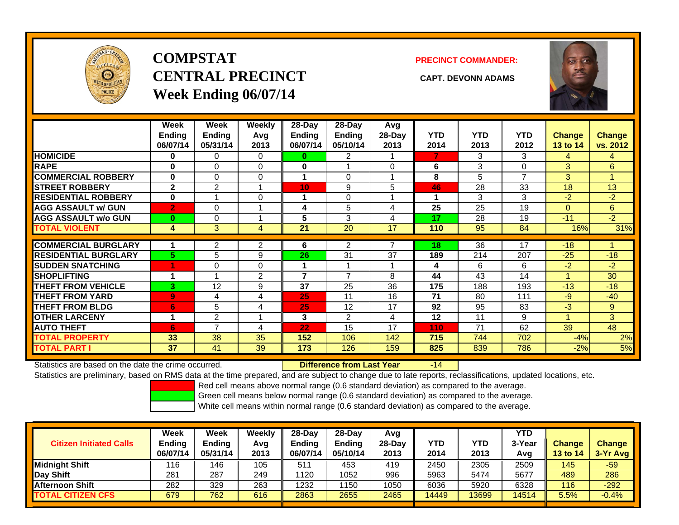

# **COMPSTATCENTRAL PRECINCT CAPT. DEVONN ADAMSWeek Ending 06/07/14**

**PRECINCT COMMANDER:**



|                             | Week<br><b>Ending</b><br>06/07/14 | Week<br><b>Ending</b><br>05/31/14 | Weekly<br>Avg<br>2013 | $28-Day$<br><b>Ending</b><br>06/07/14 | $28-Day$<br><b>Endina</b><br>05/10/14 | Avg<br>28-Day<br>2013 | <b>YTD</b><br>2014 | <b>YTD</b><br>2013 | <b>YTD</b><br>2012 | <b>Change</b><br>13 to 14 | <b>Change</b><br>vs. 2012 |
|-----------------------------|-----------------------------------|-----------------------------------|-----------------------|---------------------------------------|---------------------------------------|-----------------------|--------------------|--------------------|--------------------|---------------------------|---------------------------|
| <b>HOMICIDE</b>             | 0                                 | $\Omega$                          | 0                     | $\bf{0}$                              | 2                                     |                       | 7                  | 3                  | 3                  | 4                         | 4                         |
| <b>RAPE</b>                 | 0                                 | $\Omega$                          | 0                     | 0                                     |                                       | 0                     | 6                  | 3                  | 0                  | 3                         | 6                         |
| <b>COMMERCIAL ROBBERY</b>   | $\bf{0}$                          | $\Omega$                          | 0                     | 4                                     | $\Omega$                              |                       | 8                  | 5                  | 7                  | 3                         |                           |
| <b>STREET ROBBERY</b>       | $\mathbf{2}$                      | 2                                 |                       | 10                                    | 9                                     | 5                     | 46                 | 28                 | 33                 | 18                        | 13                        |
| <b>RESIDENTIAL ROBBERY</b>  | $\bf{0}$                          |                                   | 0                     | 1                                     | $\Omega$                              |                       |                    | 3                  | 3                  | $-2$                      | $-2$                      |
| <b>AGG ASSAULT w/ GUN</b>   | $\overline{2}$                    | $\Omega$                          |                       | 4                                     | 5                                     | 4                     | 25                 | 25                 | 19                 | $\Omega$                  | 6                         |
| <b>AGG ASSAULT w/o GUN</b>  | $\bf{0}$                          | $\Omega$                          |                       | 5                                     | 3                                     | 4                     | 17                 | 28                 | 19                 | $-11$                     | $-2$                      |
| <b>TOTAL VIOLENT</b>        | 4                                 | 3                                 | 4                     | 21                                    | 20                                    | 17                    | 110                | 95                 | 84                 | 16%                       | 31%                       |
| <b>COMMERCIAL BURGLARY</b>  |                                   | $\overline{2}$                    | 2                     | 6                                     | $\overline{2}$                        | 7                     | 18                 | 36                 | 17                 | $-18$                     |                           |
| <b>RESIDENTIAL BURGLARY</b> | 5.                                | 5                                 | 9                     | 26                                    | 31                                    | 37                    | 189                | 214                | 207                | $-25$                     | $-18$                     |
| <b>ISUDDEN SNATCHING</b>    | 4                                 | $\Omega$                          | 0                     |                                       | $\overline{\phantom{a}}$              | и                     | 4                  | 6                  | 6                  | $-2$                      | $-2$                      |
| <b>SHOPLIFTING</b>          |                                   |                                   | $\overline{2}$        | $\overline{\phantom{a}}$              | 7                                     | 8                     | 44                 | 43                 | 14                 | 1                         | 30                        |
| <b>THEFT FROM VEHICLE</b>   | 3                                 | 12                                | 9                     | 37                                    | 25                                    | 36                    | 175                | 188                | 193                | $-13$                     | $-18$                     |
| <b>THEFT FROM YARD</b>      | $\overline{9}$                    | 4                                 | 4                     | 25                                    | 11                                    | 16                    | 71                 | 80                 | 111                | $-9$                      | $-40$                     |
| <b>THEFT FROM BLDG</b>      | 6                                 | 5                                 | 4                     | 25                                    | 12                                    | 17                    | 92                 | 95                 | 83                 | $-3$                      | 9                         |
| <b>OTHER LARCENY</b>        | 1                                 | 2                                 |                       | 3                                     | $\overline{2}$                        | 4                     | 12                 | 11                 | 9                  |                           | 3                         |
| <b>AUTO THEFT</b>           | 6                                 | 7                                 | 4                     | 22                                    | 15                                    | 17                    | 110                | 71                 | 62                 | 39                        | 48                        |
| <b>TOTAL PROPERTY</b>       | 33                                | 38                                | 35                    | 152                                   | 106                                   | 142                   | 715                | 744                | 702                | $-4%$                     | 2%                        |
| <b>TOTAL PART I</b>         | 37                                | 41                                | 39                    | 173                                   | 126                                   | 159                   | 825                | 839                | 786                | $-2%$                     | 5%                        |

Statistics are based on the date the crime occurred. **Difference from Last Year** 

 $-14$ 

Statistics are preliminary, based on RMS data at the time prepared, and are subject to change due to late reports, reclassifications, updated locations, etc.

Red cell means above normal range (0.6 standard deviation) as compared to the average.

Green cell means below normal range (0.6 standard deviation) as compared to the average.

| <b>Citizen Initiated Calls</b> | Week<br><b>Ending</b><br>06/07/14 | <b>Week</b><br><b>Endina</b><br>05/31/14 | Weekly<br>Avg<br>2013 | 28-Day<br>Ending<br>06/07/14 | 28-Dav<br><b>Ending</b><br>05/10/14 | Avg<br>28-Day<br>2013 | YTD<br>2014 | YTD<br>2013 | YTD<br>3-Yea<br>Avg | <b>Change</b><br><b>13 to 14</b> | <b>Change</b><br>3-Yr Avg |
|--------------------------------|-----------------------------------|------------------------------------------|-----------------------|------------------------------|-------------------------------------|-----------------------|-------------|-------------|---------------------|----------------------------------|---------------------------|
| Midniaht Shift                 | 116                               | 46                                       | 105                   | 511                          | 453                                 | 419                   | 2450        | 2305        | 2509                | 145                              | $-59$                     |
| Day Shift                      | 281                               | 287                                      | 249                   | 1120                         | 1052                                | 996                   | 5963        | 5474        | 5677                | 489                              | 286                       |
| <b>Afternoon Shift</b>         | 282                               | 329                                      | 263                   | 1232                         | 1150                                | 1050                  | 6036        | 5920        | 6328                | 116                              | $-292$                    |
| <b>TOTAL CITIZEN CFS</b>       | 679                               | 762                                      | 616                   | 2863                         | 2655                                | 2465                  | 14449       | 3699        | 14514               | 5.5%                             | $-0.4%$                   |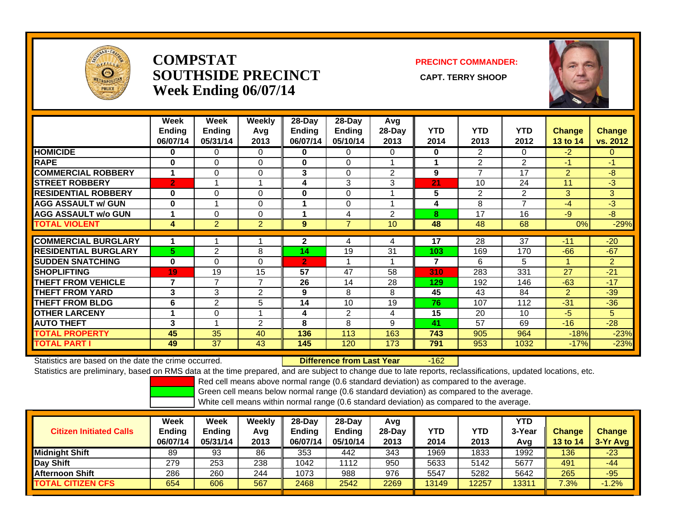

#### **COMPSTATSOUTHSIDE PRECINCT** CAPT. TERRY SHOOP **Week Ending 06/07/14**

#### **PRECINCT COMMANDER:**



|                             | Week<br>Ending<br>06/07/14 | <b>Week</b><br><b>Ending</b><br>05/31/14 | Weekly<br>Avg<br>2013 | 28-Day<br>Ending<br>06/07/14 | 28-Day<br><b>Ending</b><br>05/10/14 | Avg<br>28-Day<br>2013 | <b>YTD</b><br>2014 | <b>YTD</b><br>2013 | <b>YTD</b><br>2012 | <b>Change</b><br>13 to 14 | <b>Change</b><br>vs. 2012 |
|-----------------------------|----------------------------|------------------------------------------|-----------------------|------------------------------|-------------------------------------|-----------------------|--------------------|--------------------|--------------------|---------------------------|---------------------------|
| <b>HOMICIDE</b>             | $\bf{0}$                   | 0                                        | 0                     | 0                            | 0                                   | $\Omega$              | $\mathbf 0$        | 2                  | 0                  | $-2$                      | 0                         |
| <b>RAPE</b>                 | $\bf{0}$                   | $\Omega$                                 | $\Omega$              | $\bf{0}$                     | 0                                   |                       |                    | $\overline{2}$     | $\overline{2}$     | $-1$                      | $-1$                      |
| <b>COMMERCIAL ROBBERY</b>   | 1                          | $\Omega$                                 | 0                     | 3                            | $\Omega$                            | 2                     | 9                  | $\overline{7}$     | 17                 | $\overline{2}$            | -8                        |
| <b>STREET ROBBERY</b>       | <b>[2]</b>                 |                                          |                       | 4                            | 3                                   | 3                     | 21                 | 10                 | 24                 | 11                        | $-3$                      |
| <b>RESIDENTIAL ROBBERY</b>  | $\bf{0}$                   | $\Omega$                                 | 0                     | $\bf{0}$                     | 0                                   |                       | 5                  | 2                  | 2                  | 3                         | 3                         |
| <b>AGG ASSAULT w/ GUN</b>   | $\bf{0}$                   |                                          | 0                     |                              | 0                                   |                       | 4                  | 8                  | $\overline{ }$     | $-4$                      | $-3$                      |
| <b>AGG ASSAULT w/o GUN</b>  |                            | $\Omega$                                 | 0                     |                              | 4                                   | $\overline{2}$        | 8                  | 17                 | 16                 | $-9$                      | $-8$                      |
| <b>TOTAL VIOLENT</b>        | 4                          | $\overline{2}$                           | $\overline{2}$        | 9                            | $\overline{7}$                      | 10                    | 48                 | 48                 | 68                 | 0%                        | $-29%$                    |
|                             |                            |                                          |                       |                              |                                     |                       |                    |                    |                    |                           |                           |
| <b>COMMERCIAL BURGLARY</b>  |                            |                                          |                       | $\mathbf{2}$                 | 4                                   | 4                     | 17                 | 28                 | 37                 | $-11$                     | $-20$                     |
| <b>RESIDENTIAL BURGLARY</b> | 5                          | 2                                        | 8                     | 14                           | 19                                  | 31                    | 103                | 169                | 170                | $-66$                     | $-67$                     |
| <b>SUDDEN SNATCHING</b>     | $\bf{0}$                   | $\Omega$                                 | $\Omega$              | $\overline{2}$               |                                     | и                     | 7                  | 6                  | 5                  | 1                         | $\overline{2}$            |
| <b>SHOPLIFTING</b>          | 19                         | 19                                       | 15                    | 57                           | 47                                  | 58                    | 310                | 283                | 331                | 27                        | $-21$                     |
| <b>THEFT FROM VEHICLE</b>   | 7                          | 7                                        | $\overline{7}$        | 26                           | 14                                  | 28                    | 129                | 192                | 146                | $-63$                     | $-17$                     |
| <b>THEFT FROM YARD</b>      | 3                          | 3                                        | $\overline{2}$        | 9                            | 8                                   | 8                     | 45                 | 43                 | 84                 | $\overline{2}$            | $-39$                     |
| <b>THEFT FROM BLDG</b>      | 6                          | $\overline{2}$                           | 5                     | 14                           | 10                                  | 19                    | 76                 | 107                | 112                | $-31$                     | $-36$                     |
| <b>OTHER LARCENY</b>        |                            | $\Omega$                                 |                       | 4                            | 2                                   | 4                     | 15                 | 20                 | 10                 | $-5$                      | 5.                        |
| <b>AUTO THEFT</b>           | 3                          |                                          | 2                     | 8                            | 8                                   | 9                     | 41                 | 57                 | 69                 | $-16$                     | $-28$                     |
| <b>TOTAL PROPERTY</b>       | 45                         | 35                                       | 40                    | 136                          | 113                                 | 163                   | 743                | 905                | 964                | $-18%$                    | $-23%$                    |
| <b>TOTAL PART I</b>         | 49                         | 37                                       | 43                    | 145                          | 120                                 | 173                   | 791                | 953                | 1032               | $-17%$                    | $-23%$                    |

Statistics are based on the date the crime occurred. **Difference from Last Year** 

r -162

Statistics are preliminary, based on RMS data at the time prepared, and are subject to change due to late reports, reclassifications, updated locations, etc.

Red cell means above normal range (0.6 standard deviation) as compared to the average.

Green cell means below normal range (0.6 standard deviation) as compared to the average.

| <b>Citizen Initiated Calls</b> | Week<br><b>Ending</b><br>06/07/14 | Week<br><b>Ending</b><br>05/31/14 | Weekly<br>Avg<br>2013 | $28-Dav$<br><b>Ending</b><br>06/07/14 | $28-Day$<br><b>Ending</b><br>05/10/14 | Avg<br>$28-Day$<br>2013 | YTD<br>2014 | YTD<br>2013 | <b>YTD</b><br>3-Year<br>Avg | Change<br><b>13 to 14</b> | <b>Change</b><br>3-Yr Avg |
|--------------------------------|-----------------------------------|-----------------------------------|-----------------------|---------------------------------------|---------------------------------------|-------------------------|-------------|-------------|-----------------------------|---------------------------|---------------------------|
| <b>Midnight Shift</b>          | 89                                | 93                                | 86                    | 353                                   | 442                                   | 343                     | 1969        | 1833        | 1992                        | 136                       | $-23$                     |
| Day Shift                      | 279                               | 253                               | 238                   | 1042                                  | 1112                                  | 950                     | 5633        | 5142        | 5677                        | 491                       | $-44$                     |
| <b>Afternoon Shift</b>         | 286                               | 260                               | 244                   | 1073                                  | 988                                   | 976                     | 5547        | 5282        | 5642                        | 265                       | $-95$                     |
| <b>TOTAL CITIZEN CFS</b>       | 654                               | 606                               | 567                   | 2468                                  | 2542                                  | 2269                    | 13149       | 2257        | 13311                       | 7.3%                      | $-1.2%$                   |